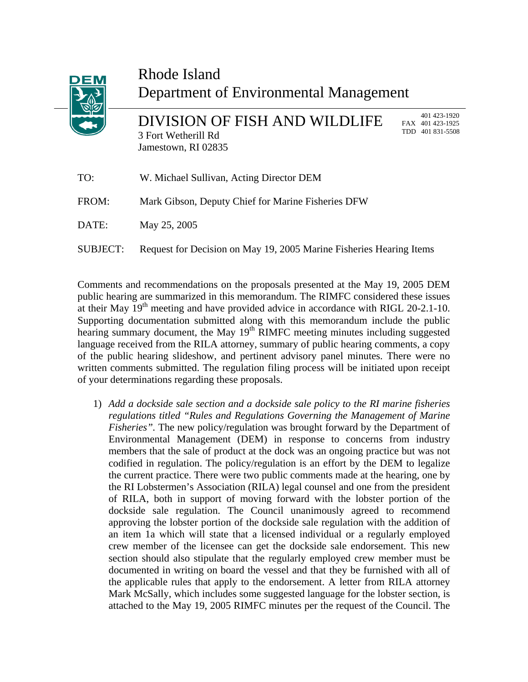| DEM   | Rhode Island<br>Department of Environmental Management                      |     |                                                  |
|-------|-----------------------------------------------------------------------------|-----|--------------------------------------------------|
|       | DIVISION OF FISH AND WILDLIFE<br>3 Fort Wetherill Rd<br>Jamestown, RI 02835 | TDD | 401 423-1920<br>FAX 401 423-1925<br>401 831-5508 |
| TO:   | W. Michael Sullivan, Acting Director DEM                                    |     |                                                  |
| FROM: | Mark Gibson, Deputy Chief for Marine Fisheries DFW                          |     |                                                  |
| DATE: | May 25, 2005                                                                |     |                                                  |
|       |                                                                             |     |                                                  |

**SUBJECT:** 

Comments and recommendations on the proposals presented at the May 19, 2005 DEM public hearing are summarized in this memorandum. The RIMFC considered these issues at their May  $19<sup>th</sup>$  meeting and have provided advice in accordance with RIGL 20-2.1-10. Supporting documentation submitted along with this memorandum include the public hearing summary document, the May  $19<sup>th</sup>$  RIMFC meeting minutes including suggested language received from the RILA attorney, summary of public hearing comments, a copy of the public hearing slideshow, and pertinent advisory panel minutes. There were no written comments submitted. The regulation filing process will be initiated upon receipt of your determinations regarding these proposals.

Request for Decision on May 19, 2005 Marine Fisheries Hearing Items

1) *Add a dockside sale section and a dockside sale policy to the RI marine fisheries regulations titled "Rules and Regulations Governing the Management of Marine Fisheries".* The new policy/regulation was brought forward by the Department of Environmental Management (DEM) in response to concerns from industry members that the sale of product at the dock was an ongoing practice but was not codified in regulation. The policy/regulation is an effort by the DEM to legalize the current practice. There were two public comments made at the hearing, one by the RI Lobstermen's Association (RILA) legal counsel and one from the president of RILA, both in support of moving forward with the lobster portion of the dockside sale regulation. The Council unanimously agreed to recommend approving the lobster portion of the dockside sale regulation with the addition of an item 1a which will state that a licensed individual or a regularly employed crew member of the licensee can get the dockside sale endorsement. This new section should also stipulate that the regularly employed crew member must be documented in writing on board the vessel and that they be furnished with all of the applicable rules that apply to the endorsement. A letter from RILA attorney Mark McSally, which includes some suggested language for the lobster section, is attached to the May 19, 2005 RIMFC minutes per the request of the Council. The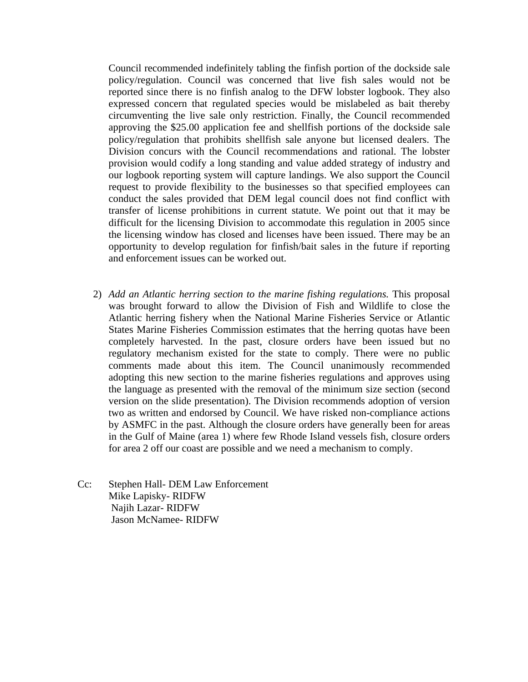Council recommended indefinitely tabling the finfish portion of the dockside sale policy/regulation. Council was concerned that live fish sales would not be reported since there is no finfish analog to the DFW lobster logbook. They also expressed concern that regulated species would be mislabeled as bait thereby circumventing the live sale only restriction. Finally, the Council recommended approving the \$25.00 application fee and shellfish portions of the dockside sale policy/regulation that prohibits shellfish sale anyone but licensed dealers. The Division concurs with the Council recommendations and rational. The lobster provision would codify a long standing and value added strategy of industry and our logbook reporting system will capture landings. We also support the Council request to provide flexibility to the businesses so that specified employees can conduct the sales provided that DEM legal council does not find conflict with transfer of license prohibitions in current statute. We point out that it may be difficult for the licensing Division to accommodate this regulation in 2005 since the licensing window has closed and licenses have been issued. There may be an opportunity to develop regulation for finfish/bait sales in the future if reporting and enforcement issues can be worked out.

- ) *Add an Atlantic herring section to the marine fishing regulations.* This proposal 2 was brought forward to allow the Division of Fish and Wildlife to close the Atlantic herring fishery when the National Marine Fisheries Service or Atlantic States Marine Fisheries Commission estimates that the herring quotas have been completely harvested. In the past, closure orders have been issued but no regulatory mechanism existed for the state to comply. There were no public comments made about this item. The Council unanimously recommended adopting this new section to the marine fisheries regulations and approves using the language as presented with the removal of the minimum size section (second version on the slide presentation). The Division recommends adoption of version two as written and endorsed by Council. We have risked non-compliance actions by ASMFC in the past. Although the closure orders have generally been for areas in the Gulf of Maine (area 1) where few Rhode Island vessels fish, closure orders for area 2 off our coast are possible and we need a mechanism to comply.
- Stephen Hall- DEM Law Enforcement Jason McNamee- RIDFW  $Cc$ : Mike Lapisky- RIDFW Najih Lazar- RIDFW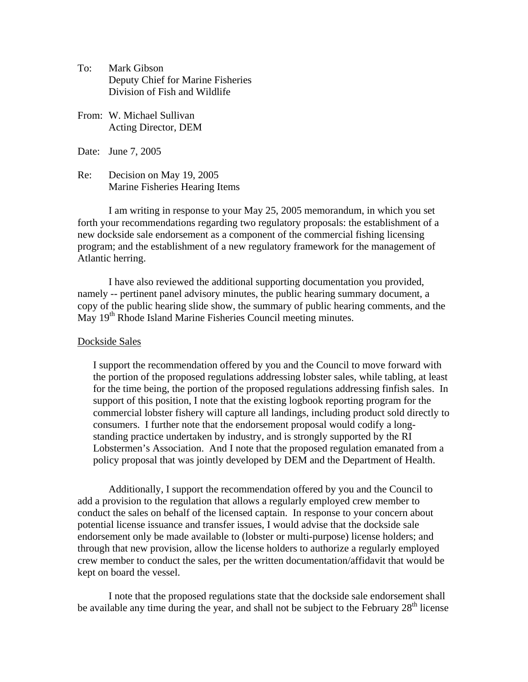- To: Mark Gibson Deputy Chief for Marine Fisheries Division of Fish and Wildlife
- From: W. Michael Sullivan Acting Director, DEM

Date: June 7, 2005

Decision on May 19, 2005 Marine Fisheries Hearing Items Re:

I am writing in response to your May 25, 2005 memorandum, in which you set program; and the establishment of a new regulatory framework for the management of forth your recommendations regarding two regulatory proposals: the establishment of a new dockside sale endorsement as a component of the commercial fishing licensing Atlantic herring.

I have also reviewed the additional supporting documentation you provided, namely -- pertinent panel advisory minutes, the public hearing summary document, a copy of the public hearing slide show, the summary of public hearing comments, and the May 19<sup>th</sup> Rhode Island Marine Fisheries Council meeting minutes.

## Dockside Sales

I support the recommendation offered by you and the Council to move forward with commercial lobster fishery will capture all landings, including product sold directly to Lobstermen's Association. And I note that the proposed regulation emanated from a the portion of the proposed regulations addressing lobster sales, while tabling, at least for the time being, the portion of the proposed regulations addressing finfish sales. In support of this position, I note that the existing logbook reporting program for the consumers. I further note that the endorsement proposal would codify a longstanding practice undertaken by industry, and is strongly supported by the RI policy proposal that was jointly developed by DEM and the Department of Health.

Additionally, I support the recommendation offered by you and the Council to add a p rovision to the regulation that allows a regularly employed crew member to conduct the sales on behalf of the licensed captain. In response to your concern about endorsement only be made available to (lobster or multi-purpose) license holders; and potential license issuance and transfer issues, I would advise that the dockside sale through that new provision, allow the license holders to authorize a regularly employed crew member to conduct the sales, per the written documentation/affidavit that would be kept on board the vessel.

I note that the proposed regulations state that the dockside sale endorsement shall be available any time during the year, and shall not be subject to the February  $28<sup>th</sup>$  license